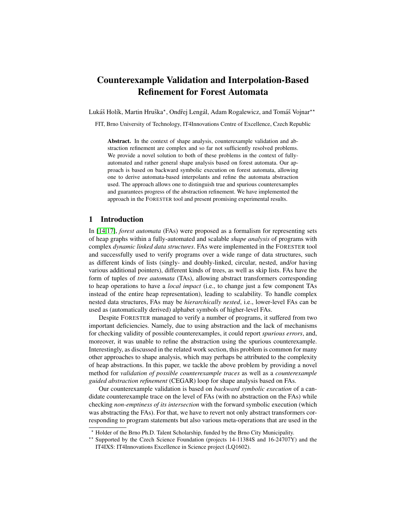# Counterexample Validation and Interpolation-Based Refinement for Forest Automata

Lukáš Holík, Martin Hruška<sup>\*</sup>, Ondřej Lengál, Adam Rogalewicz, and Tomáš Vojnar<sup>\*\*</sup>

FIT, Brno University of Technology, IT4Innovations Centre of Excellence, Czech Republic

Abstract. In the context of shape analysis, counterexample validation and abstraction refinement are complex and so far not sufficiently resolved problems. We provide a novel solution to both of these problems in the context of fullyautomated and rather general shape analysis based on forest automata. Our approach is based on backward symbolic execution on forest automata, allowing one to derive automata-based interpolants and refine the automata abstraction used. The approach allows one to distinguish true and spurious counterexamples and guarantees progress of the abstraction refinement. We have implemented the approach in the FORESTER tool and present promising experimental results.

# 1 Introduction

In [\[14,](#page-17-0)[17\]](#page-17-1), *forest automata* (FAs) were proposed as a formalism for representing sets of heap graphs within a fully-automated and scalable *shape analysis* of programs with complex *dynamic linked data structures*. FAs were implemented in the FORESTER tool and successfully used to verify programs over a wide range of data structures, such as different kinds of lists (singly- and doubly-linked, circular, nested, and/or having various additional pointers), different kinds of trees, as well as skip lists. FAs have the form of tuples of *tree automata* (TAs), allowing abstract transformers corresponding to heap operations to have a *local impact* (i.e., to change just a few component TAs instead of the entire heap representation), leading to scalability. To handle complex nested data structures, FAs may be *hierarchically nested*, i.e., lower-level FAs can be used as (automatically derived) alphabet symbols of higher-level FAs.

Despite FORESTER managed to verify a number of programs, it suffered from two important deficiencies. Namely, due to using abstraction and the lack of mechanisms for checking validity of possible counterexamples, it could report *spurious errors*, and, moreover, it was unable to refine the abstraction using the spurious counterexample. Interestingly, as discussed in the related work section, this problem is common for many other approaches to shape analysis, which may perhaps be attributed to the complexity of heap abstractions. In this paper, we tackle the above problem by providing a novel method for *validation of possible counterexample traces* as well as a *counterexample guided abstraction refinement* (CEGAR) loop for shape analysis based on FAs.

Our counterexample validation is based on *backward symbolic execution* of a candidate counterexample trace on the level of FAs (with no abstraction on the FAs) while checking *non-emptiness of its intersection* with the forward symbolic execution (which was abstracting the FAs). For that, we have to revert not only abstract transformers corresponding to program statements but also various meta-operations that are used in the

<sup>?</sup> Holder of the Brno Ph.D. Talent Scholarship, funded by the Brno City Municipality.

<sup>\*\*</sup> Supported by the Czech Science Foundation (projects 14-11384S and 16-24707Y) and the IT4IXS: IT4Innovations Excellence in Science project (LQ1602).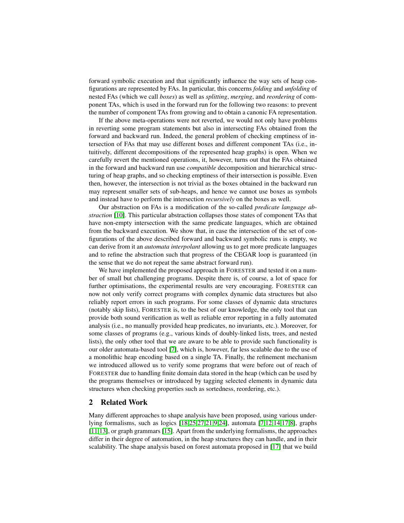forward symbolic execution and that significantly influence the way sets of heap configurations are represented by FAs. In particular, this concerns *folding* and *unfolding* of nested FAs (which we call *boxes*) as well as *splitting*, *merging*, and *reordering* of component TAs, which is used in the forward run for the following two reasons: to prevent the number of component TAs from growing and to obtain a canonic FA representation.

If the above meta-operations were not reverted, we would not only have problems in reverting some program statements but also in intersecting FAs obtained from the forward and backward run. Indeed, the general problem of checking emptiness of intersection of FAs that may use different boxes and different component TAs (i.e., intuitively, different decompositions of the represented heap graphs) is open. When we carefully revert the mentioned operations, it, however, turns out that the FAs obtained in the forward and backward run use *compatible* decomposition and hierarchical structuring of heap graphs, and so checking emptiness of their intersection is possible. Even then, however, the intersection is not trivial as the boxes obtained in the backward run may represent smaller sets of sub-heaps, and hence we cannot use boxes as symbols and instead have to perform the intersection *recursively* on the boxes as well.

Our abstraction on FAs is a modification of the so-called *predicate language abstraction* [\[10\]](#page-17-2). This particular abstraction collapses those states of component TAs that have non-empty intersection with the same predicate languages, which are obtained from the backward execution. We show that, in case the intersection of the set of configurations of the above described forward and backward symbolic runs is empty, we can derive from it an *automata interpolant* allowing us to get more predicate languages and to refine the abstraction such that progress of the CEGAR loop is guaranteed (in the sense that we do not repeat the same abstract forward run).

We have implemented the proposed approach in FORESTER and tested it on a number of small but challenging programs. Despite there is, of course, a lot of space for further optimisations, the experimental results are very encouraging. FORESTER can now not only verify correct programs with complex dynamic data structures but also reliably report errors in such programs. For some classes of dynamic data structures (notably skip lists), FORESTER is, to the best of our knowledge, the only tool that can provide both sound verification as well as reliable error reporting in a fully automated analysis (i.e., no manually provided heap predicates, no invariants, etc.). Moreover, for some classes of programs (e.g., various kinds of doubly-linked lists, trees, and nested lists), the only other tool that we are aware to be able to provide such functionality is our older automata-based tool [\[7\]](#page-17-3), which is, however, far less scalable due to the use of a monolithic heap encoding based on a single TA. Finally, the refinement mechanism we introduced allowed us to verify some programs that were before out of reach of FORESTER due to handling finite domain data stored in the heap (which can be used by the programs themselves or introduced by tagging selected elements in dynamic data structures when checking properties such as sortedness, reordering, etc.).

# 2 Related Work

Many different approaches to shape analysis have been proposed, using various underlying formalisms, such as logics [\[18](#page-18-0)[,25](#page-18-1)[,27](#page-18-2)[,21](#page-18-3)[,9](#page-17-4)[,24\]](#page-18-4), automata [\[7,](#page-17-3)[12,](#page-17-5)[14,](#page-17-0)[17,](#page-17-1)[8\]](#page-17-6), graphs [\[11,](#page-17-7)[13\]](#page-17-8), or graph grammars [\[15\]](#page-17-9). Apart from the underlying formalisms, the approaches differ in their degree of automation, in the heap structures they can handle, and in their scalability. The shape analysis based on forest automata proposed in [\[17\]](#page-17-1) that we build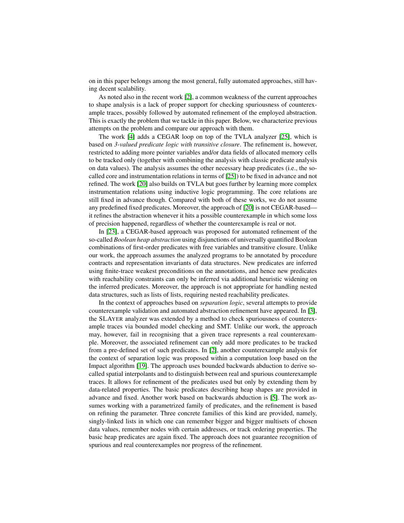on in this paper belongs among the most general, fully automated approaches, still having decent scalability.

As noted also in the recent work [\[2\]](#page-17-10), a common weakness of the current approaches to shape analysis is a lack of proper support for checking spuriousness of counterexample traces, possibly followed by automated refinement of the employed abstraction. This is exactly the problem that we tackle in this paper. Below, we characterize previous attempts on the problem and compare our approach with them.

The work [\[4\]](#page-17-11) adds a CEGAR loop on top of the TVLA analyzer [\[25\]](#page-18-1), which is based on *3-valued predicate logic with transitive closure*. The refinement is, however, restricted to adding more pointer variables and/or data fields of allocated memory cells to be tracked only (together with combining the analysis with classic predicate analysis on data values). The analysis assumes the other necessary heap predicates (i.e., the socalled core and instrumentation relations in terms of [\[25\]](#page-18-1)) to be fixed in advance and not refined. The work [\[20\]](#page-18-5) also builds on TVLA but goes further by learning more complex instrumentation relations using inductive logic programming. The core relations are still fixed in advance though. Compared with both of these works, we do not assume any predefined fixed predicates. Moreover, the approach of [\[20\]](#page-18-5) is not CEGAR-based it refines the abstraction whenever it hits a possible counterexample in which some loss of precision happened, regardless of whether the counterexample is real or not.

In [\[23\]](#page-18-6), a CEGAR-based approach was proposed for automated refinement of the so-called *Boolean heap abstraction* using disjunctions of universally quantified Boolean combinations of first-order predicates with free variables and transitive closure. Unlike our work, the approach assumes the analyzed programs to be annotated by procedure contracts and representation invariants of data structures. New predicates are inferred using finite-trace weakest preconditions on the annotations, and hence new predicates with reachability constraints can only be inferred via additional heuristic widening on the inferred predicates. Moreover, the approach is not appropriate for handling nested data structures, such as lists of lists, requiring nested reachability predicates.

In the context of approaches based on *separation logic*, several attempts to provide counterexample validation and automated abstraction refinement have appeared. In [\[3\]](#page-17-12), the SLAYER analyzer was extended by a method to check spuriousness of counterexample traces via bounded model checking and SMT. Unlike our work, the approach may, however, fail in recognising that a given trace represents a real counterexample. Moreover, the associated refinement can only add more predicates to be tracked from a pre-defined set of such predicates. In [\[2\]](#page-17-10), another counterexample analysis for the context of separation logic was proposed within a computation loop based on the Impact algorithm [\[19\]](#page-18-7). The approach uses bounded backwards abduction to derive socalled spatial interpolants and to distinguish between real and spurious counterexample traces. It allows for refinement of the predicates used but only by extending them by data-related properties. The basic predicates describing heap shapes are provided in advance and fixed. Another work based on backwards abduction is [\[5\]](#page-17-13). The work assumes working with a parametrized family of predicates, and the refinement is based on refining the parameter. Three concrete families of this kind are provided, namely, singly-linked lists in which one can remember bigger and bigger multisets of chosen data values, remember nodes with certain addresses, or track ordering properties. The basic heap predicates are again fixed. The approach does not guarantee recognition of spurious and real counterexamples nor progress of the refinement.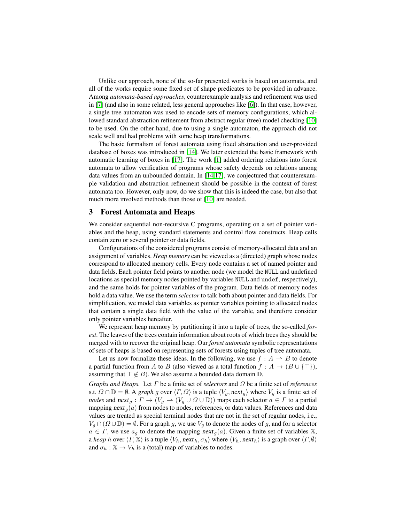Unlike our approach, none of the so-far presented works is based on automata, and all of the works require some fixed set of shape predicates to be provided in advance. Among *automata-based approaches*, counterexample analysis and refinement was used in [\[7\]](#page-17-3) (and also in some related, less general approaches like [\[6\]](#page-17-14)). In that case, however, a single tree automaton was used to encode sets of memory configurations, which allowed standard abstraction refinement from abstract regular (tree) model checking [\[10\]](#page-17-2) to be used. On the other hand, due to using a single automaton, the approach did not scale well and had problems with some heap transformations.

The basic formalism of forest automata using fixed abstraction and user-provided database of boxes was introduced in [\[14\]](#page-17-0). We later extended the basic framework with automatic learning of boxes in [\[17\]](#page-17-1). The work [\[1\]](#page-17-15) added ordering relations into forest automata to allow verification of programs whose safety depends on relations among data values from an unbounded domain. In [\[14](#page-17-0)[,17\]](#page-17-1), we conjectured that counterexample validation and abstraction refinement should be possible in the context of forest automata too. However, only now, do we show that this is indeed the case, but also that much more involved methods than those of [\[10\]](#page-17-2) are needed.

#### 3 Forest Automata and Heaps

We consider sequential non-recursive C programs, operating on a set of pointer variables and the heap, using standard statements and control flow constructs. Heap cells contain zero or several pointer or data fields.

Configurations of the considered programs consist of memory-allocated data and an assignment of variables. *Heap memory* can be viewed as a (directed) graph whose nodes correspond to allocated memory cells. Every node contains a set of named pointer and data fields. Each pointer field points to another node (we model the NULL and undefined locations as special memory nodes pointed by variables NULL and undef, respectively), and the same holds for pointer variables of the program. Data fields of memory nodes hold a data value. We use the term *selector* to talk both about pointer and data fields. For simplification, we model data variables as pointer variables pointing to allocated nodes that contain a single data field with the value of the variable, and therefore consider only pointer variables hereafter.

We represent heap memory by partitioning it into a tuple of trees, the so-called *forest*. The leaves of the trees contain information about roots of which trees they should be merged with to recover the original heap. Our *forest automata* symbolic representations of sets of heaps is based on representing sets of forests using tuples of tree automata.

Let us now formalize these ideas. In the following, we use  $f : A \rightarrow B$  to denote a partial function from A to B (also viewed as a total function  $f : A \to (B \cup {\{\top\}}),$ assuming that  $\top \notin B$ ). We also assume a bounded data domain  $\mathbb{D}$ .

*Graphs and Heaps.* Let Γ be a finite set of *selectors* and Ω be a finite set of *references* s.t.  $\Omega \cap \mathbb{D} = \emptyset$ . A *graph g* over  $\langle \Gamma, \Omega \rangle$  is a tuple  $\langle V_g, \text{next}_g \rangle$  where  $V_g$  is a finite set of *nodes* and  $\text{next}_g : \Gamma \to (V_g \to (V_g \cup \Omega \cup \mathbb{D}))$  maps each selector  $a \in \Gamma$  to a partial mapping next<sub>a</sub>( $a$ ) from nodes to nodes, references, or data values. References and data values are treated as special terminal nodes that are not in the set of regular nodes, i.e.,  $V_g \cap (\Omega \cup \mathbb{D}) = \emptyset$ . For a graph g, we use  $V_g$  to denote the nodes of g, and for a selector  $a \in \Gamma$ , we use  $a_g$  to denote the mapping next<sub>g</sub>(a). Given a finite set of variables X, a *heap* h over  $\langle \Gamma, \mathbb{X} \rangle$  is a tuple  $\langle V_h, \text{next}_h, \sigma_h \rangle$  where  $\langle V_h, \text{next}_h \rangle$  is a graph over  $\langle \Gamma, \emptyset \rangle$ and  $\sigma_h : \mathbb{X} \to V_h$  is a (total) map of variables to nodes.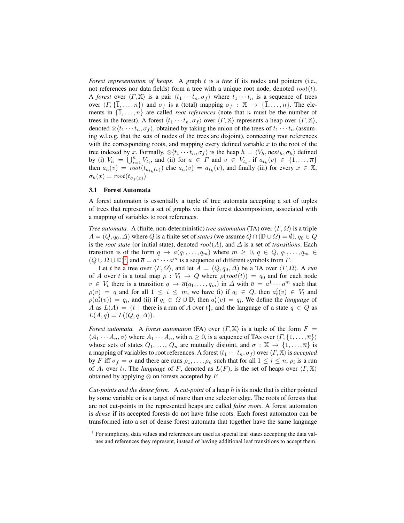*Forest representation of heaps.* A graph t is a *tree* if its nodes and pointers (i.e., not references nor data fields) form a tree with a unique root node, denoted  $root(t)$ . A *forest* over  $\langle \Gamma, \mathbb{X} \rangle$  is a pair  $\langle t_1 \cdots t_n, \sigma_f \rangle$  where  $t_1 \cdots t_n$  is a sequence of trees over  $\langle \Gamma, \{\overline{1}, \ldots, \overline{n}\}\rangle$  and  $\sigma_f$  is a (total) mapping  $\sigma_f : \mathbb{X} \to \{\overline{1}, \ldots, \overline{n}\}.$  The elements in  $\{\overline{1}, \ldots, \overline{n}\}$  are called *root references* (note that *n* must be the number of trees in the forest). A forest  $\langle t_1 \cdots t_n, \sigma_f \rangle$  over  $\langle \Gamma, \mathbb{X} \rangle$  represents a heap over  $\langle \Gamma, \mathbb{X} \rangle$ , denoted  $\otimes \langle t_1 \cdots t_n, \sigma_f \rangle$ , obtained by taking the union of the trees of  $t_1 \cdots t_n$  (assuming w.l.o.g. that the sets of nodes of the trees are disjoint), connecting root references with the corresponding roots, and mapping every defined variable  $x$  to the root of the tree indexed by x. Formally,  $\otimes \langle t_1 \cdots t_n, \sigma_f \rangle$  is the heap  $h = \langle V_h, \text{next}_h, \sigma_h \rangle$  defined by (i)  $V_h = \bigcup_{i=1}^n V_{t_i}$ , and (ii) for  $a \in \Gamma$  and  $v \in V_{t_k}$ , if  $a_{t_k}(v) \in \{\overline{1}, \ldots, \overline{n}\}$ then  $a_h(v) = root(t_{a_{t_k}(v)})$  else  $a_h(v) = a_{t_k}(v)$ , and finally (iii) for every  $x \in \mathbb{X}$ ,  $\sigma_h(x) = root(t_{\sigma_f(x)}).$ 

#### <span id="page-4-1"></span>3.1 Forest Automata

A forest automaton is essentially a tuple of tree automata accepting a set of tuples of trees that represents a set of graphs via their forest decomposition, associated with a mapping of variables to root references.

*Tree automata.* A (finite, non-deterministic) *tree automaton* (TA) over  $\langle \Gamma, \Omega \rangle$  is a triple  $A = (Q, q_0, \Delta)$  where Q is a finite set of *states* (we assume  $Q \cap (\mathbb{D} \cup \Omega) = \emptyset$ ),  $q_0 \in Q$ is the *root state* (or initial state), denoted  $root(A)$ , and  $\Delta$  is a set of *transitions*. Each transition is of the form  $q \to \overline{a}(q_1,\ldots,q_m)$  where  $m \geq 0, q \in Q, q_1,\ldots,q_m \in$  $(Q \cup \Omega \cup \mathbb{D})^1$  $(Q \cup \Omega \cup \mathbb{D})^1$ , and  $\overline{a} = a^1 \cdots a^m$  is a sequence of different symbols from  $\Gamma$ .

Let t be a tree over  $\langle \Gamma, \Omega \rangle$ , and let  $A = (Q, q_0, \Delta)$  be a TA over  $\langle \Gamma, \Omega \rangle$ . A *run* of A over t is a total map  $\rho: V_t \to Q$  where  $\rho(root(t)) = q_0$  and for each node  $v \in V_t$  there is a transition  $q \to \overline{a}(q_1,\ldots,q_m)$  in  $\Delta$  with  $\overline{a} = a^1 \cdots a^m$  such that  $\rho(v) = q$  and for all  $1 \leq i \leq m$ , we have (i) if  $q_i \in Q$ , then  $a_t^i(v) \in V_t$  and  $\rho(a_t^i(v)) = q_i$ , and (ii) if  $q_i \in \Omega \cup \mathbb{D}$ , then  $a_t^i(v) = q_i$ . We define the *language* of A as  $L(A) = \{t \mid \text{there is a run of } A \text{ over } t\}$ , and the language of a state  $q \in Q$  as  $L(A,q) = L((Q,q,\Delta)).$ 

*Forest automata.* A *forest automaton* (FA) over  $\langle \Gamma, \mathbb{X} \rangle$  is a tuple of the form  $F =$  $\langle A_1 \cdots A_n, \sigma \rangle$  where  $A_1 \cdots A_n$ , with  $n \geq 0$ , is a sequence of TAs over  $\langle \Gamma, \{1, \ldots, \overline{n}\} \rangle$ whose sets of states  $Q_1, \ldots, Q_n$  are mutually disjoint, and  $\sigma : \mathbb{X} \to \{\overline{1}, \ldots, \overline{n}\}$  is a mapping of variables to root references. A forest  $\langle t_1 \cdots t_n, \sigma_f \rangle$  over  $\langle \Gamma, \mathbb{X} \rangle$  is *accepted* by F iff  $\sigma_f = \sigma$  and there are runs  $\rho_1, \ldots, \rho_n$  such that for all  $1 \leq i \leq n$ ,  $\rho_i$  is a run of  $A_i$  over  $t_i$ . The *language* of F, denoted as  $L(F)$ , is the set of heaps over  $\langle \Gamma, \mathbb{X} \rangle$ obtained by applying  $\otimes$  on forests accepted by F.

*Cut-points and the dense form.* A *cut-point* of a heap h is its node that is either pointed by some variable or is a target of more than one selector edge. The roots of forests that are not cut-points in the represented heaps are called *false roots*. A forest automaton is *dense* if its accepted forests do not have false roots. Each forest automaton can be transformed into a set of dense forest automata that together have the same language

<span id="page-4-0"></span><sup>&</sup>lt;sup>1</sup> For simplicity, data values and references are used as special leaf states accepting the data values and references they represent, instead of having additional leaf transitions to accept them.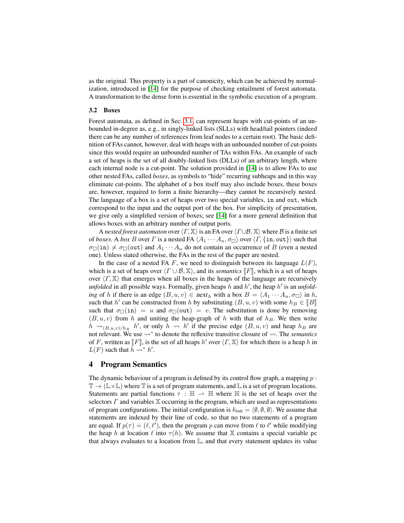as the original. This property is a part of canonicity, which can be achieved by normalization, introduced in [\[14\]](#page-17-0) for the purpose of checking entailment of forest automata. A transformation to the dense form is essential in the symbolic execution of a program.

#### 3.2 Boxes

Forest automata, as defined in Sec. [3.1,](#page-4-1) can represent heaps with cut-points of an unbounded in-degree as, e.g., in singly-linked lists (SLLs) with head/tail pointers (indeed there can be any number of references from leaf nodes to a certain root). The basic definition of FAs cannot, however, deal with heaps with an unbounded number of cut-points since this would require an unbounded number of TAs within FAs. An example of such a set of heaps is the set of all doubly-linked lists (DLLs) of an arbitrary length, where each internal node is a cut-point. The solution provided in [\[14\]](#page-17-0) is to allow FAs to use other nested FAs, called *boxes*, as symbols to "hide" recurring subheaps and in this way eliminate cut-points. The alphabet of a box itself may also include boxes, these boxes are, however, required to form a finite hierarchy—they cannot be recursively nested. The language of a box is a set of heaps over two special variables, in and out, which correspond to the input and the output port of the box. For simplicity of presentation, we give only a simplified version of boxes; see [\[14\]](#page-17-0) for a more general definition that allows boxes with an arbitrary number of output ports.

A *nested forest automaton* over  $\langle \Gamma, \mathbb{X} \rangle$  is an FA over  $\langle \Gamma \cup \mathcal{B}, \mathbb{X} \rangle$  where B is a finite set of *boxes*. A *box* B over  $\Gamma$  is a nested FA  $\langle A_1 \cdots A_n, \sigma_{\square} \rangle$  over  $\langle \Gamma, \{\text{in}, \text{out}\}\rangle$  such that  $\sigma_{\Box}$ (in)  $\neq \sigma_{\Box}$ (out) and  $A_1 \cdots A_n$  do not contain an occurrence of B (even a nested one). Unless stated otherwise, the FAs in the rest of the paper are nested.

In the case of a nested FA F, we need to distinguish between its language  $L(F)$ , which is a set of heaps over  $\langle \Gamma \cup \mathcal{B}, \mathbb{X} \rangle$ , and its *semantics*  $\llbracket F \rrbracket$ , which is a set of heaps over  $\langle \Gamma, \mathbb{X} \rangle$  that emerges when all boxes in the heaps of the language are recursively unfolded in all possible ways. Formally, given heaps  $h$  and  $h'$ , the heap  $h'$  is an *unfolding* of h if there is an edge  $(B, u, v) \in \text{next}_h$  with a box  $B = \langle A_1 \cdots A_n, \sigma \rangle$  in h, such that  $h'$  can be constructed from h by substituting  $(B, u, v)$  with some  $h_B \in [B]$ <br>such that  $\tau_{\text{min}}(x) = u$  and  $\tau_{\text{min}}(x) = v$ . The substitution is done by removing such that  $\sigma_{\Box}(\text{in}) = u$  and  $\sigma_{\Box}(\text{out}) = v$ . The substitution is done by removing  $(B, u, v)$  from h and uniting the heap-graph of h with that of  $h_B$ . We then write  $h \rightsquigarrow_{(B,u,v)/h_B} h'$ , or only  $h \rightsquigarrow h'$  if the precise edge  $(B, u, v)$  and heap  $h_B$  are not relevant. We use <sup>~</sup> to denote the reflexive transitive closure of ~>. The *semantics* of F, written as  $[[F]]$ , is the set of all heaps  $h'$  over  $\langle \Gamma, \mathbb{X} \rangle$  for which there is a heap h in  $L(F)$  such that  $h \cup_{h \in \mathbb{R}}^* h'$  $L(F)$  such that  $\overline{h} \rightsquigarrow^* h'.$ 

#### 4 Program Semantics

The dynamic behaviour of a program is defined by its control flow graph, a mapping  $p$ :  $\mathbb{T} \to (\mathbb{L} \times \mathbb{L})$  where  $\mathbb{T}$  is a set of program statements, and  $\mathbb{L}$  is a set of program locations. Statements are partial functions  $\tau : \mathbb{H} \to \mathbb{H}$  where  $\mathbb{H}$  is the set of heaps over the selectors  $\Gamma$  and variables  $\mathbb X$  occurring in the program, which are used as representations of program configurations. The initial configuration is  $h_{\text{init}} = \langle \emptyset, \emptyset, \emptyset \rangle$ . We assume that statements are indexed by their line of code, so that no two statements of a program are equal. If  $p(\tau) = (\ell, \ell')$ , then the program p can move from  $\ell$  to  $\ell'$  while modifying the heap h at location  $\ell$  into  $\tau(h)$ . We assume that X contains a special variable pc that always evaluates to a location from  $\mathbb{L}$ , and that every statement updates its value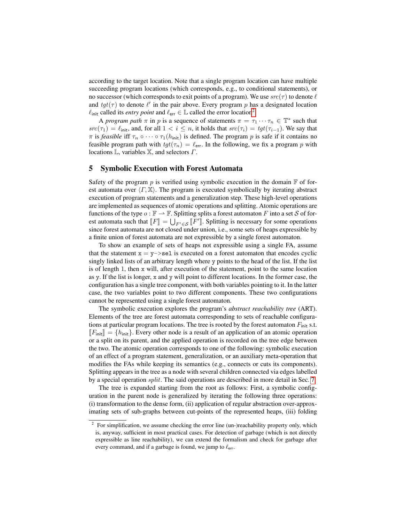according to the target location. Note that a single program location can have multiple succeeding program locations (which corresponds, e.g., to conditional statements), or no successor (which corresponds to exit points of a program). We use  $src(\tau)$  to denote  $\ell$ and  $tgt(\tau)$  to denote  $\ell'$  in the pair above. Every program p has a designated location  $\ell_{\text{init}}$  called its *entry point* and  $\ell_{\text{err}} \in \mathbb{L}$  called the error location<sup>[2](#page-6-0)</sup>.

A *program path*  $\pi$  in p is a sequence of statements  $\pi = \tau_1 \cdots \tau_n \in \mathbb{T}^*$  such that  $src(\tau_1) = \ell_{init}$ , and, for all  $1 < i \leq n$ , it holds that  $src(\tau_i) = \text{tgt}(\tau_{i-1})$ . We say that  $\pi$  is *feasible* iff  $\tau_n \circ \cdots \circ \tau_1(h_{\text{init}})$  is defined. The program p is safe if it contains no feasible program path with  $tgt(\tau_n) = \ell_{err}$ . In the following, we fix a program p with locations  $\mathbb{L}$ , variables  $\mathbb{X}$ , and selectors  $\Gamma$ .

#### <span id="page-6-1"></span>5 Symbolic Execution with Forest Automata

Safety of the program  $p$  is verified using symbolic execution in the domain  $\mathbb F$  of forest automata over  $\langle \Gamma, \mathbb{X} \rangle$ . The program is executed symbolically by iterating abstract execution of program statements and a generalization step. These high-level operations are implemented as sequences of atomic operations and splitting. Atomic operations are functions of the type  $o : \mathbb{F} \to \mathbb{F}$ . Splitting splits a forest automaton F into a set S of forest automata such that  $[[F]] = \bigcup_{F' \in \mathcal{S}} [[F']]$ . Splitting is necessary for some operations since forget automate are not closed under union i.e., some sets of beens expressible by since forest automata are not closed under union, i.e., some sets of heaps expressible by a finite union of forest automata are not expressible by a single forest automaton.

To show an example of sets of heaps not expressible using a single FA, assume that the statement  $x = y \rightarrow$ sel is executed on a forest automaton that encodes cyclic singly linked lists of an arbitrary length where y points to the head of the list. If the list is of length 1, then x will, after execution of the statement, point to the same location as y. If the list is longer, x and y will point to different locations. In the former case, the configuration has a single tree component, with both variables pointing to it. In the latter case, the two variables point to two different components. These two configurations cannot be represented using a single forest automaton.

The symbolic execution explores the program's *abstract reachability tree* (ART). Elements of the tree are forest automata corresponding to sets of reachable configurations at particular program locations. The tree is rooted by the forest automaton  $F_{\text{init}}$  s.t.  $\Vert F_{\text{init}} \Vert = \lbrace h_{\text{init}} \rbrace$ . Every other node is a result of an application of an atomic operation or a split on its parent, and the applied operation is recorded on the tree edge between the two. The atomic operation corresponds to one of the following: symbolic execution of an effect of a program statement, generalization, or an auxiliary meta-operation that modifies the FAs while keeping its semantics (e.g., connects or cuts its components). Splitting appears in the tree as a node with several children connected via edges labelled by a special operation split. The said operations are described in more detail in Sec. [7.](#page-10-0)

The tree is expanded starting from the root as follows: First, a symbolic configuration in the parent node is generalized by iterating the following three operations: (i) transformation to the dense form, (ii) application of regular abstraction over-approximating sets of sub-graphs between cut-points of the represented heaps, (iii) folding

<span id="page-6-0"></span><sup>2</sup> For simplification, we assume checking the error line (un-)reachability property only, which is, anyway, sufficient in most practical cases. For detection of garbage (which is not directly expressible as line reachability), we can extend the formalism and check for garbage after every command, and if a garbage is found, we jump to  $\ell_{err}$ .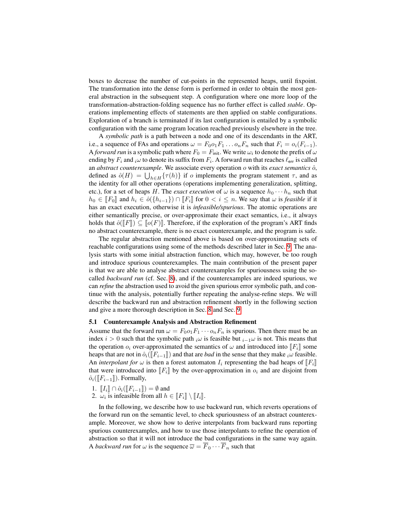boxes to decrease the number of cut-points in the represented heaps, until fixpoint. The transformation into the dense form is performed in order to obtain the most general abstraction in the subsequent step. A configuration where one more loop of the transformation-abstraction-folding sequence has no further effect is called *stable*. Operations implementing effects of statements are then applied on stable configurations. Exploration of a branch is terminated if its last configuration is entailed by a symbolic configuration with the same program location reached previously elsewhere in the tree.

A *symbolic path* is a path between a node and one of its descendants in the ART, i.e., a sequence of FAs and operations  $\omega = F_0 \omega_1 F_1 \dots \omega_n F_n$  such that  $F_i = \omega_i (F_{i-1})$ . A *forward run* is a symbolic path where  $F_0 = F_{\mathsf{init}}$ . We write  $\omega_i$  to denote the prefix of  $\omega$ ending by  $F_i$  and  $_i\omega$  to denote its suffix from  $F_i$ . A forward run that reaches  $\ell_{\sf err}$  is called an *abstract counterexample*. We associate every operation  $o$  with its *exact semantics*  $\hat{o}$ , defined as  $\hat{o}(H) = \bigcup_{h \in H} \{\tau(h)\}\$ if o implements the program statement  $\tau$ , and as the identity for all other operations (operations implementing generalization, splitting, etc.), for a set of heaps H. The *exact execution* of  $\omega$  is a sequence  $h_0 \cdots h_n$  such that  $h_0$  ∈  $[[F_0]]$  and  $h_i$  ∈  $\hat{o}(\lbrace h_{i-1} \rbrace) \cap [[F_i]]$  for  $0 < i \leq n$ . We say that  $\omega$  is *feasible* if it has an exact execution, otherwise it is *infeasible/spurious*. The atomic operations are either semantically precise, or over-approximate their exact semantics, i.e., it always holds that  $\hat{o}(\llbracket F \rrbracket) \subseteq \llbracket o(F) \rrbracket$ . Therefore, if the exploration of the program's ART finds no abstract counterexample, there is no exact counterexample, and the program is safe.

The regular abstraction mentioned above is based on over-approximating sets of reachable configurations using some of the methods described later in Sec. [9.](#page-13-0) The analysis starts with some initial abstraction function, which may, however, be too rough and introduce spurious counterexamples. The main contribution of the present paper is that we are able to analyse abstract counterexamples for spuriousness using the socalled *backward run* (cf. Sec. [8\)](#page-12-0), and if the counterexamples are indeed spurious, we can *refine* the abstraction used to avoid the given spurious error symbolic path, and continue with the analysis, potentially further repeating the analyse-refine steps. We will describe the backward run and abstraction refinement shortly in the following section and give a more thorough description in Sec. [8](#page-12-0) and Sec. [9.](#page-13-0)

#### <span id="page-7-0"></span>5.1 Counterexample Analysis and Abstraction Refinement

Assume that the forward run  $\omega = F_0 \overline{O_1} F_1 \cdots \overline{O_n} F_n$  is spurious. Then there must be an index  $i > 0$  such that the symbolic path  $i\omega$  is feasible but  $i^{-1}\omega$  is not. This means that the operation  $o_i$  over-approximated the semantics of  $\omega$  and introduced into  $\llbracket F_i \rrbracket$  some heaps that are not in  $\hat{o}_i(\llbracket F_{i-1} \rrbracket)$  and that are *bad* in the sense that they make  $i\omega$  feasible. An *interpolant for*  $\omega$  is then a forest automaton  $I_i$  representing the bad heaps of  $\llbracket F_i \rrbracket$ that were introduced into  $[F_i]$  by the over-approximation in  $o_i$  and are disjoint from  $\hat{o}_i(\llbracket F_{i-1} \rrbracket)$ . Formally,

- 1.  $\llbracket I_i \rrbracket \cap \hat{o}_i(\llbracket F_{i-1} \rrbracket) = \emptyset$  and
- 2.  $\omega_i$  is infeasible from all  $h \in [F_i] \setminus [I_i]$ .

In the following, we describe how to use backward run, which reverts operations of the forward run on the semantic level, to check spuriousness of an abstract counterexample. Moreover, we show how to derive interpolants from backward runs reporting spurious counterexamples, and how to use those interpolants to refine the operation of abstraction so that it will not introduce the bad configurations in the same way again. A *backward run* for  $\omega$  is the sequence  $\overline{\omega} = \overline{F}_0 \cdots \overline{F}_n$  such that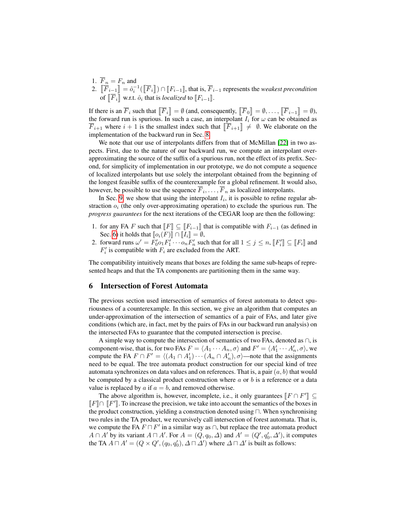1.  $F_n = F_n$  and 2.  $\left[\overline{F}_{i-1}\right] = \hat{o}_i^{-1}(\left[\overline{F}_i\right]) \cap \left[\overline{F}_{i-1}\right]$ , that is,  $\overline{F}_{i-1}$  represents the *weakest precondition* of  $\llbracket \overline{F}_i \rrbracket$  w.r.t.  $\hat{o}_i$  that is *localized* to  $\llbracket F_{i-1} \rrbracket$ .

If there is an  $\overline{F}_i$  such that  $\overline{\|F}_i\| = \emptyset$  (and, consequently,  $\overline{\|F}_0\| = \emptyset, \ldots, \overline{\|F}_{i-1}\| = \emptyset$ ), the forward run is spurious. In such a case, an interpolant  $I_i$  for  $\omega$  can be obtained as  $\overline{F}_{i+1}$  where  $i+1$  is the smallest index such that  $\|\overline{F}_{i+1}\| \neq \emptyset$ . We elaborate on the implementation of the backward run in Sec. [8.](#page-12-0)

We note that our use of interpolants differs from that of McMillan [\[22\]](#page-18-8) in two aspects. First, due to the nature of our backward run, we compute an interpolant overapproximating the source of the suffix of a spurious run, not the effect of its prefix. Second, for simplicity of implementation in our prototype, we do not compute a sequence of localized interpolants but use solely the interpolant obtained from the beginning of the longest feasible suffix of the counterexample for a global refinement. It would also, however, be possible to use the sequence  $F_i, \ldots, F_n$  as localized interpolants.

In Sec. [9,](#page-13-0) we show that using the interpolant  $I_i$ , it is possible to refine regular abstraction  $o_i$  (the only over-approximating operation) to exclude the spurious run. The *progress guarantees* for the next iterations of the CEGAR loop are then the following:

- 1. for any FA F such that  $\llbracket F \rrbracket \subseteq \llbracket F_{i-1} \rrbracket$  that is compatible with  $F_{i-1}$  (as defined in Sec. [6\)](#page-8-0) it holds that  $\llbracket o_i(F) \rrbracket \cap \llbracket I_i \rrbracket = \emptyset$ ,
- 2. forward runs  $\omega' = F'_0 \circ_1 F'_1 \cdots \circ_n F'_n$  such that for all  $1 \leq j \leq n$ ,  $[[F'_i]] \subseteq [[F_i]]$  and  $F'_i$  is compatible with E are excluded from the APT  $F_i'$  is compatible with  $F_i$  are excluded from the ART.

The compatibility intuitively means that boxes are folding the same sub-heaps of represented heaps and that the TA components are partitioning them in the same way.

#### <span id="page-8-0"></span>6 Intersection of Forest Automata

The previous section used intersection of semantics of forest automata to detect spuriousness of a counterexample. In this section, we give an algorithm that computes an under-approximation of the intersection of semantics of a pair of FAs, and later give conditions (which are, in fact, met by the pairs of FAs in our backward run analysis) on the intersected FAs to guarantee that the computed intersection is precise.

A simple way to compute the intersection of semantics of two FAs, denoted as ∩, is component-wise, that is, for two FAs  $F = \langle A_1 \cdots A_n, \sigma \rangle$  and  $F' = \langle A'_1 \cdots A'_n, \sigma \rangle$ , we compute the FA  $F \cap F' = \langle (A_1 \cap A'_1) \cdots (A_n \cap A'_n), \sigma \rangle$ —note that the assignments need to be equal. The tree automata product construction for our special kind of tree automata synchronizes on data values and on references. That is, a pair  $(a, b)$  that would be computed by a classical product construction where  $a$  or  $b$  is a reference or a data value is replaced by  $a$  if  $a = b$ , and removed otherwise.

The above algorithm is, however, incomplete, i.e., it only guarantees  $\llbracket F \cap F' \rrbracket \subseteq$  $\llbracket F \rrbracket \cap \llbracket F' \rrbracket$ . To increase the precision, we take into account the semantics of the boxes in the product construction viabling a construction denoted using  $\Box$  When superconsing the product construction, yielding a construction denoted using  $\Box$ . When synchronising two rules in the TA product, we recursively call intersection of forest automata. That is, we compute the FA  $F \sqcap F'$  in a similar way as  $\cap$ , but replace the tree automata product  $A \cap A'$  by its variant  $A \cap A'$ . For  $A = (Q, q_0, \Delta)$  and  $A' = (Q', q'_0, \Delta')$ , it computes the TA  $A \sqcap A' = (Q \times Q', (q_0, q'_0), \Delta \sqcap \Delta')$  where  $\Delta \sqcap \Delta'$  is built as follows: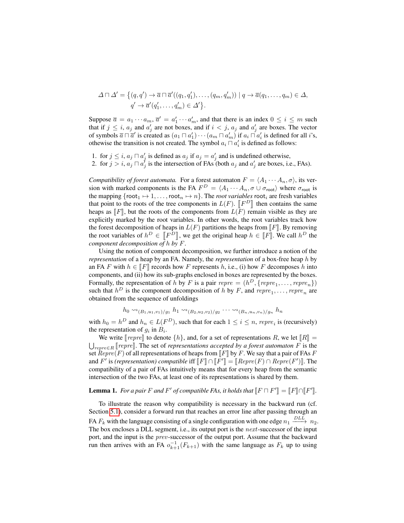$$
\Delta \sqcap \Delta' = \{(q, q') \to \overline{a} \sqcap \overline{a}'((q_1, q'_1), \dots, (q_m, q'_m)) \mid q \to \overline{a}(q_1, \dots, q_m) \in \Delta, q' \to \overline{a}'(q'_1, \dots, q'_m) \in \Delta'\}.
$$

Suppose  $\overline{a} = a_1 \cdots a_m$ ,  $\overline{a}' = a'_1 \cdots a'_m$ , and that there is an index  $0 \le i \le m$  such that if  $j \leq i$ ,  $a_j$  and  $a'_j$  are not boxes, and if  $i < j$ ,  $a_j$  and  $a'_j$  are boxes. The vector of symbols  $\overline{a} \sqcap \overline{a}'$  is created as  $(a_1 \sqcap a'_1) \cdots (a_m \sqcap a'_m)$  if  $a_i \sqcap a'_i$  is defined for all i's, othewise the transition is not created. The symbol  $a_i \sqcap a'_i$  is defined as follows:

1. for  $j \leq i$ ,  $a_j \sqcap a'_j$  is defined as  $a_j$  if  $a_j = a'_j$  and is undefined otherwise, 2. for  $j > i$ ,  $a_j \sqcap a_j^j$  is the intersection of FAs (both  $a_j$  and  $a_j^j$  are boxes, i.e., FAs).

*Compatibility of forest automata.* For a forest automaton  $F = \langle A_1 \cdots A_n, \sigma \rangle$ , its version with marked components is the FA  $F^D = \langle A_1 \cdots A_n, \sigma \cup \sigma_{\text{root}} \rangle$  where  $\sigma_{\text{root}}$  is the mapping  $\{\text{root}_1 \mapsto 1, \ldots, \text{root}_n \mapsto n\}$ . The *root variables* root<sub>i</sub> are fresh variables that point to the roots of the tree components in  $L(F)$ .  $\llbracket F^D \rrbracket$  then contains the same heaps as  $\llbracket F \rrbracket$ , but the roots of the components from  $L(F)$  remain visible as they are explicitly marked by the root variables. In other words, the root variables track how the forest decomposition of heaps in  $L(F)$  partitions the heaps from  $\llbracket F \rrbracket$ . By removing the root variables of  $h^D \in [F^D]$ , we get the original heap  $h \in [F]$ . We call  $h^D$  the component decomposition of  $h$  by  $F$ *component decomposition of* h *by* F.

Using the notion of component decomposition, we further introduce a notion of the *representation* of a heap by an FA. Namely, the *representation* of a box-free heap h by an FA F with  $h \in \llbracket F \rrbracket$  records how F represents h, i.e., (i) how F decomposes h into components, and (ii) how its sub-graphs enclosed in boxes are represented by the boxes. Formally, the representation of h by F is a pair  $repre = (h^D, \{repre_1, \ldots, repre_n\})$ such that  $h^D$  is the component decomposition of h by F, and  $repre_1, \ldots, repre_n$  are obtained from the sequence of unfoldings

$$
h_0 \sim_{(B_1,u_1,v_1)/g_1} h_1 \sim_{(B_2,u_2,v_2)/g_2} \cdots \sim_{(B_n,u_n,v_n)/g_n} h_n
$$

with  $h_0 = h^D$  and  $h_n \in L(F^D)$ , such that for each  $1 \le i \le n$ , repre<sub>i</sub> is (recursively) the representation of  $g_i$  in  $B_i$ .

We write  $[repre]$  to denote  $\{h\}$ , and, for a set of representations R, we let  $[R] = \bigcup_{repre \in R} [repre]$ . The set of *representations accepted by a forest automaton* F is the set *Benco*(E) of all representations of beaps from set  $\overline{Repre}(F)$  of all representations of heaps from  $\llbracket F \rrbracket$  by F. We say that a pair of FAs F and F' is *(representation) compatible* iff  $\llbracket F \rrbracket \cap \llbracket F' \rrbracket = \llbracket \text{Repre}(F) \cap \text{Repre}(F') \rrbracket$ . The compatibility of a pair of EAs intuitively means that for every heap from the semantic compatibility of a pair of FAs intuitively means that for every heap from the semantic intersection of the two FAs, at least one of its representations is shared by them.

# **Lemma 1.** For a pair F and F' of compatible FAs, it holds that  $[[F \sqcap F']] = [[F] \cap [[F']]$ .

To illustrate the reason why compatibility is necessary in the backward run (cf. Section [5.1\)](#page-7-0), consider a forward run that reaches an error line after passing through an FA  $F_k$  with the language consisting of a single configuration with one edge  $n_1 \xrightarrow{DLL} n_2$ . The box encloses a DLL segment, i.e., its output port is the *next*-successor of the input port, and the input is the prev-successor of the output port. Assume that the backward run then arrives with an FA  $o_{k+1}^{-1}(F_{k+1})$  with the same language as  $F_k$  up to using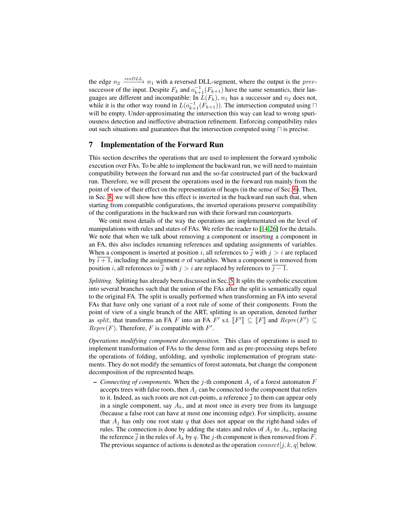the edge  $n_2 \xrightarrow{revDLL} n_1$  with a reversed DLL-segment, where the output is the prevsuccessor of the input. Despite  $F_k$  and  $o_{k+1}^{-1}(F_{k+1})$  have the same semantics, their languages are different and incompatible: In  $\overline{L}(F_k)$ ,  $n_1$  has a successor and  $n_2$  does not, while it is the other way round in  $L(o_{k+1}^{-1}(F_{k+1}))$ . The intersection computed using  $\Box$ will be empty. Under-approximating the intersection this way can lead to wrong spuriousness detection and ineffective abstraction refinement. Enforcing compatibility rules out such situations and guarantees that the intersection computed using  $\Box$  is precise.

# <span id="page-10-0"></span>7 Implementation of the Forward Run

This section describes the operations that are used to implement the forward symbolic execution over FAs. To be able to implement the backward run, we will need to maintain compatibility between the forward run and the so-far constructed part of the backward run. Therefore, we will present the operations used in the forward run mainly from the point of view of their effect on the representation of heaps (in the sense of Sec. [6\)](#page-8-0). Then, in Sec. [8,](#page-12-0) we will show how this effect is inverted in the backward run such that, when starting from compatible configurations, the inverted operations preserve compatibility of the configurations in the backward run with their forward run counterparts.

We omit most details of the way the operations are implementated on the level of manipulations with rules and states of FAs. We refer the reader to [\[14](#page-17-0)[,26\]](#page-18-9) for the details. We note that when we talk about removing a component or inserting a component in an FA, this also includes renaming references and updating assignments of variables. When a component is inserted at position i, all references to  $\overrightarrow{j}$  with  $j > i$  are replaced by  $\overline{i+1}$ , including the assignment  $\sigma$  of variables. When a component is removed from position *i*, all references to  $\overline{j}$  with  $j > i$  are replaced by references to  $\overline{j-1}$ .

*Splitting.* Splitting has already been discussed in Sec. [5.](#page-6-1) It splits the symbolic execution into several branches such that the union of the FAs after the split is semantically equal to the original FA. The split is usually performed when transforming an FA into several FAs that have only one variant of a root rule of some of their components. From the point of view of a single branch of the ART, splitting is an operation, denoted further as split, that transforms an FA F into an FA F' s.t.  $[[F']] \subseteq [[F]]$  and  $Repre(F') \subseteq$ <br> $E_{conv}(F)$ . Therefore, F is compatible with  $F'$  $Repre(F)$ . Therefore, F is compatible with F'.

*Operations modifying component decomposition.* This class of operations is used to implement transformation of FAs to the dense form and as pre-processing steps before the operations of folding, unfolding, and symbolic implementation of program statements. They do not modify the semantics of forest automata, but change the component decomposition of the represented heaps.

– *Connecting of components*. When the j-th component  $A_i$  of a forest automaton  $F$ accepts trees with false roots, then  $A_i$  can be connected to the component that refers to it. Indeed, as such roots are not cut-points, a reference  $\overline{j}$  to them can appear only in a single component, say  $A_k$ , and at most once in every tree from its language (because a false root can have at most one incoming edge). For simplicity, assume that  $A_i$  has only one root state q that does not appear on the right-hand sides of rules. The connection is done by adding the states and rules of  $A_i$  to  $A_k$ , replacing the reference  $\overline{j}$  in the rules of  $A_k$  by q. The j-th component is then removed from F. The previous sequence of actions is denoted as the operation  $connect[j, k, q]$  below.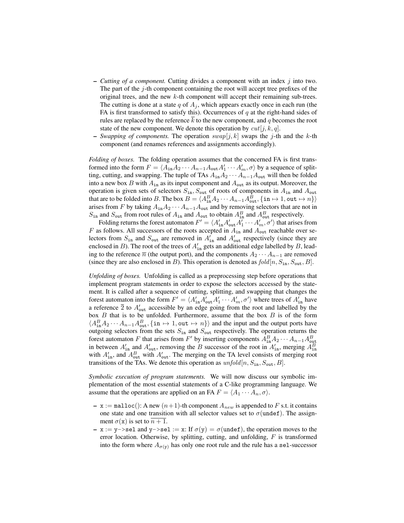- *Cutting of a component.* Cutting divides a component with an index j into two. The part of the  $j$ -th component containing the root will accept tree prefixes of the original trees, and the new k-th component will accept their remaining sub-trees. The cutting is done at a state q of  $A_j$ , which appears exactly once in each run (the FA is first transformed to satisfy this). Occurrences of  $q$  at the right-hand sides of rules are replaced by the reference  $\overline{k}$  to the new component, and q becomes the root state of the new component. We denote this operation by  $cut[i, k, q]$ .
- *Swapping of components*. The operation  $swap[j, k]$  swaps the j-th and the k-th component (and renames references and assignments accordingly).

*Folding of boxes.* The folding operation assumes that the concerned FA is first transformed into the form  $F = \langle A_{in} A_2 \cdots A_{n-1} A_{out} A'_1 \cdots A'_m, \sigma \rangle$  by a sequence of splitting, cutting, and swapping. The tuple of TAs  $A_{in}A_2 \cdots A_{n-1}A_{out}$  will then be folded into a new box  $B$  with  $A_{in}$  as its input component and  $A_{out}$  as its output. Moreover, the operation is given sets of selectors  $S_{in}$ ,  $S_{out}$  of roots of components in  $A_{in}$  and  $A_{out}$ that are to be folded into B. The box  $B = \langle A_{\text{in}}^B A_2 \cdots A_{n-1} A_{\text{out}}^B, \{\text{in} \mapsto 1, \text{out} \mapsto n\}\rangle$ arises from F by taking  $A_{in}A_2 \cdots A_{n-1}A_{out}$  and by removing selectors that are not in  $S_{\text{in}}$  and  $S_{\text{out}}$  from root rules of  $A_{\text{in}}$  and  $A_{\text{out}}$  to obtain  $A_{\text{in}}^B$  and  $A_{\text{out}}^B$  respectively.

Folding returns the forest automaton  $F' = \langle A'_{in} A'_{out} A'_1 \cdots A'_m, \sigma' \rangle$  that arises from F as follows. All successors of the roots accepted in  $A_{\text{in}}$  and  $A_{\text{out}}$  reachable over selectors from  $S_{\text{in}}$  and  $S_{\text{out}}$  are removed in  $A'_{\text{in}}$  and  $A'_{\text{out}}$  respectively (since they are enclosed in B). The root of the trees of  $A'_{\text{in}}$  gets an additional edge labelled by B, leading to the reference  $\overline{n}$  (the output port), and the components  $A_2 \cdots A_{n-1}$  are removed (since they are also enclosed in B). This operation is denoted as  $fold[n, S_{in}, S_{out}, B]$ .

*Unfolding of boxes.* Unfolding is called as a preprocessing step before operations that implement program statements in order to expose the selectors accessed by the statement. It is called after a sequence of cutting, splitting, and swapping that changes the forest automaton into the form  $F' = \langle A'_{in} A'_{out} A'_1 \cdots A'_m, \sigma' \rangle$  where trees of  $A'_{in}$  have a reference  $\overline{2}$  to  $A'_{\text{out}}$  accessible by an edge going from the root and labelled by the box  $B$  that is to be unfolded. Furthermore, assume that the box  $B$  is of the form  $\langle A_{\text{in}}^B A_2 \cdots A_{n-1} A_{\text{out}}^B, \{\text{in} \mapsto 1, \text{out} \mapsto n\}\rangle$  and the input and the output ports have outgoing selectors from the sets  $S_{in}$  and  $S_{out}$  respectively. The operation returns the forest automaton F that arises from F' by inserting components  $A_{\text{in}}^B A_2 \cdots A_{n-1} A_{\text{out}}^B$ <br>in between  $A'_{\text{in}}$  and  $A'_{\text{out}}$ , removing the B successor of the root in  $A'_{\text{in}}$ , merging  $A_{\text{in}}^B$ with  $A'_{in}$ , and  $A_{out}^B$  with  $A'_{out}$ . The merging on the TA level consists of merging root transitions of the TAs. We denote this operation as  $unfold[n, S_{in}, S_{out}, B]$ .

*Symbolic execution of program statements.* We will now discuss our symbolic implementation of the most essential statements of a C-like programming language. We assume that the operations are applied on an FA  $F = \langle A_1 \cdots A_n, \sigma \rangle$ .

- $x := \text{malloc}($ ): A new  $(n+1)$ -th component  $A_{new}$  is appended to F s.t. it contains one state and one transition with all selector values set to  $\sigma$ (undef). The assignment  $\sigma(\mathbf{x})$  is set to  $n+1$ .
- $x := y \rightarrow \text{sel}$  and  $y \rightarrow \text{sel} := x$ : If  $\sigma(y) = \sigma(\text{undef})$ , the operation moves to the error location. Otherwise, by splitting, cutting, and unfolding,  $F$  is transformed into the form where  $A_{\sigma(y)}$  has only one root rule and the rule has a sel-successor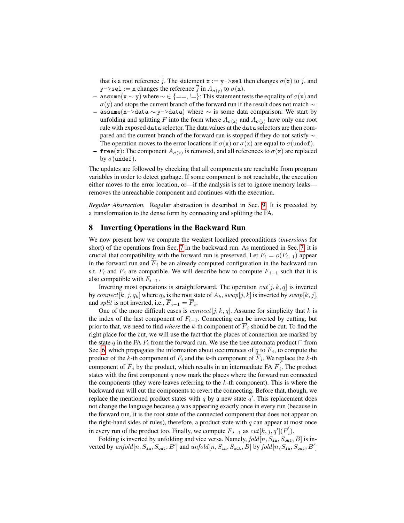that is a root reference  $\bar{j}$ . The statement  $x := y \rightarrow \text{sel}$  then changes  $\sigma(x)$  to  $\bar{j}$ , and y->sel := x changes the reference  $\overline{j}$  in  $A_{\sigma(y)}$  to  $\sigma(x)$ .

- assume(x  $\sim$  y) where  $\sim \in \{ ==, != \}$ : This statement tests the equality of  $\sigma(x)$  and  $\sigma(y)$  and stops the current branch of the forward run if the result does not match  $\sim$ .
- assume(x->data  $\sim$  y->data) where  $\sim$  is some data comparison: We start by unfolding and splitting F into the form where  $A_{\sigma(x)}$  and  $A_{\sigma(y)}$  have only one root rule with exposed data selector. The data values at the data selectors are then compared and the current branch of the forward run is stopped if they do not satisfy ∼. The operation moves to the error locations if  $\sigma(x)$  or  $\sigma(x)$  are equal to  $\sigma(\text{undef})$ .
- $\texttt{-}$  free(x): The component  $A_{\sigma(\textbf{x})}$  is removed, and all references to  $\sigma(\textbf{x})$  are replaced by  $\sigma$ (undef).

The updates are followed by checking that all components are reachable from program variables in order to detect garbage. If some component is not reachable, the execution either moves to the error location, or—if the analysis is set to ignore memory leaks removes the unreachable component and continues with the execution.

*Regular Abstraction.* Regular abstraction is described in Sec. [9.](#page-13-0) It is preceded by a transformation to the dense form by connecting and splitting the FA.

## <span id="page-12-0"></span>8 Inverting Operations in the Backward Run

We now present how we compute the weakest localized preconditions (*inversions* for short) of the operations from Sec. [7](#page-10-0) in the backward run. As mentioned in Sec. [7,](#page-10-0) it is crucial that compatibility with the forward run is preserved. Let  $F_i = o(F_{i-1})$  appear in the forward run and  $\overline{F}_i$  be an already computed configuration in the backward run s.t.  $F_i$  and  $\overline{F}_i$  are compatible. We will describe how to compute  $\overline{F}_{i-1}$  such that it is also compatible with  $F_{i-1}$ .

Inverting most operations is straightforward. The operation  $cut[j, k, q]$  is inverted by connect[k, j, qk] where  $q_k$  is the root state of  $A_k$ , swap[j, k] is inverted by swap[k, j], and *split* is not inverted, i.e.,  $F_{i-1} = F_i$ .

One of the more difficult cases is  $connect[j, k, q]$ . Assume for simplicity that k is the index of the last component of  $F_{i-1}$ . Connecting can be inverted by cutting, but prior to that, we need to find *where* the k-th component of  $\overline{F}_i$  should be cut. To find the right place for the cut, we will use the fact that the places of connection are marked by the state q in the FA  $F_i$  from the forward run. We use the tree automata product  $\Box$  from Sec. [6,](#page-8-0) which propagates the information about occurrences of  $q$  to  $F_i$ , to compute the product of the k-th component of  $F_i$  and the k-th component of  $F_i$ . We replace the k-th component of  $\overline{F}_i$  by the product, which results in an intermediate FA  $\overline{F}'_i$  $i<sub>i</sub>$ . The product states with the first component  $q$  now mark the places where the forward run connected the components (they were leaves referring to the  $k$ -th component). This is where the backward run will cut the components to revert the connecting. Before that, though, we replace the mentioned product states with  $q$  by a new state  $q'$ . This replacement does not change the language because  $q$  was appearing exactly once in every run (because in the forward run, it is the root state of the connected component that does not appear on the right-hand sides of rules), therefore, a product state with  $q$  can appear at most once in every run of the product too. Finally, we compute  $\overline{F}_{i-1}$  as  $cut[k, j, q']$   $(\overline{F}_{i}$  $i^{'})$ .

Folding is inverted by unfolding and vice versa. Namely,  $fold[n, S_{in}, S_{out}, B]$  is inverted by  $unfold[n, S_{\text{in}}, S_{\text{out}}, B']$  and  $unfold[n, S_{\text{in}}, S_{\text{out}}, B]$  by  $fold[n, S_{\text{in}}, S_{\text{out}}, B']$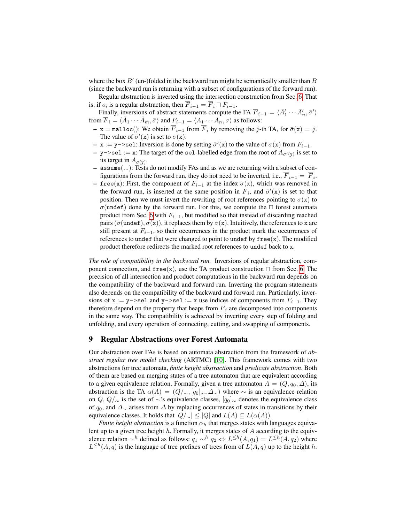where the box  $B'$  (un-)folded in the backward run might be semantically smaller than  $B$ (since the backward run is returning with a subset of configurations of the forward run).

Regular abstraction is inverted using the intersection construction from Sec. [6.](#page-8-0) That is, if  $o_i$  is a regular abstraction, then  $\overline{F}_{i-1} = \overline{F}_i \sqcap F_{i-1}$ .

Finally, inversions of abstract statements compute the FA  $\overline{F}_{i-1} = \langle \overline{A}'_1 \cdots \overline{A}'_n, \overline{\sigma}' \rangle$ from  $\overline{F}_i = \langle \overline{A}_1 \cdots \overline{A}_m, \overline{\sigma} \rangle$  and  $F_{i-1} = \langle A_1 \cdots \overline{A}_n, \sigma \rangle$  as follows:

- x = malloc(): We obtain  $\overline{F}_{i-1}$  from  $\overline{F}_i$  by removing the j-th TA, for  $\overline{\sigma}(x) = \overline{j}$ . The value of  $\bar{\sigma}'(x)$  is set to  $\sigma(x)$ .
- $x := y \rightarrow \text{sel: Inversion is done by setting } \bar{\sigma}'(x)$  to the value of  $\sigma(x)$  from  $F_{i-1}$ .
- $-$  y->sel := x: The target of the sel-labelled edge from the root of  $A_{\bar{\sigma}'(y)}$  is set to its target in  $A_{\sigma(y)}$ .
- assume(...): Tests do not modify FAs and as we are returning with a subset of configurations from the forward run, they do not need to be inverted, i.e.,  $F_{i-1} = F_i$ .
- free(x): First, the component of  $F_{i-1}$  at the index  $\sigma(x)$ , which was removed in the forward run, is inserted at the same position in  $\overline{F}_i$ , and  $\overline{\sigma}'(x)$  is set to that position. Then we must invert the rewriting of root references pointing to  $\sigma(x)$  to  $\sigma$ (undef) done by the forward run. For this, we compute the  $\Box$  forest automata product from Sec. [6](#page-8-0) with  $F_{i-1}$ , but modified so that instead of discarding reached pairs  $(\sigma(\text{undef}), \sigma(x))$ , it replaces them by  $\sigma(x)$ . Intuitively, the references to x are still present at  $F_{i-1}$ , so their occurrences in the product mark the occurrences of references to undef that were changed to point to undef by  $free(x)$ . The modified product therefore redirects the marked root references to undef back to x.

*The role of compatibility in the backward run.* Inversions of regular abstraction, component connection, and  $free(x)$ , use the TA product construction  $\Box$  from Sec. [6.](#page-8-0) The precision of all intersection and product computations in the backward run depends on the compatibility of the backward and forward run. Inverting the program statements also depends on the compatibility of the backward and forward run. Particularly, inversions of  $x := y$ ->sel and y->sel := x use indices of components from  $F_{i-1}$ . They therefore depend on the property that heaps from  $\overline{F}_i$  are decomposed into components in the same way. The compatibility is achieved by inverting every step of folding and unfolding, and every operation of connecting, cutting, and swapping of components.

#### <span id="page-13-0"></span>9 Regular Abstractions over Forest Automata

Our abstraction over FAs is based on automata abstraction from the framework of *abstract regular tree model checking* (ARTMC) [\[10\]](#page-17-2). This framework comes with two abstractions for tree automata, *finite height abstraction* and *predicate abstraction*. Both of them are based on merging states of a tree automaton that are equivalent according to a given equivalence relation. Formally, given a tree automaton  $A = (Q, q_0, \Delta)$ , its abstraction is the TA  $\alpha(A) = (Q/\sim, [q_0] \sim, \Delta_{\sim})$  where  $\sim$  is an equivalence relation on  $Q, Q/\sim$  is the set of ∼'s equivalence classes,  $[q_0]_{\sim}$  denotes the equivalence class of  $q_0$ , and  $\Delta_{\sim}$  arises from  $\Delta$  by replacing occurrences of states in transitions by their equivalence classes. It holds that  $|Q/\sim| \leq |Q|$  and  $L(A) \subseteq L(\alpha(A)).$ 

*Finite height abstraction* is a function  $\alpha_h$  that merges states with languages equivalent up to a given tree height  $h$ . Formally, it merges states of  $A$  according to the equivalence relation  $\sim^h$  defined as follows:  $q_1 \sim^h q_2 \Leftrightarrow L^{\leq h}(A, q_1) = L^{\leq h}(A, q_2)$  where  $L^{\leq h}(A,q)$  is the language of tree prefixes of trees from of  $L(A,q)$  up to the height h.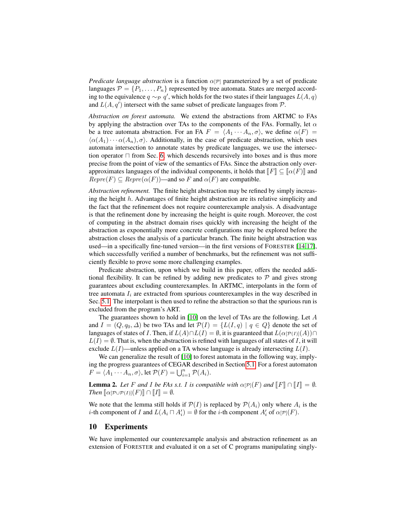*Predicate language abstraction* is a function  $\alpha$ [P] parameterized by a set of predicate languages  $\mathcal{P} = \{P_1, \ldots, P_n\}$  represented by tree automata. States are merged according to the equivalence  $q \sim_{\mathcal{P}} q'$ , which holds for the two states if their languages  $L(A,q)$ and  $L(A, q')$  intersect with the same subset of predicate languages from  $P$ .

*Abstraction on forest automata.* We extend the abstractions from ARTMC to FAs by applying the abstraction over TAs to the components of the FAs. Formally, let  $\alpha$ be a tree automata abstraction. For an FA  $F = \langle A_1 \cdots A_n, \sigma \rangle$ , we define  $\alpha(F) =$  $\langle \alpha(A_1)\cdots \alpha(A_n), \sigma \rangle$ . Additionally, in the case of predicate abstraction, which uses automata intersection to annotate states by predicate languages, we use the intersection operator  $\sqcap$  from Sec. [6,](#page-8-0) which descends recursively into boxes and is thus more precise from the point of view of the semantics of FAs. Since the abstraction only overapproximates languages of the individual components, it holds that  $\llbracket F \rrbracket \subseteq \llbracket \alpha(F) \rrbracket$  and  $Repre(F) \subseteq Repre(\alpha(F))$ —and so F and  $\alpha(F)$  are compatible.

*Abstraction refinement.* The finite height abstraction may be refined by simply increasing the height  $h$ . Advantages of finite height abstraction are its relative simplicity and the fact that the refinement does not require counterexample analysis. A disadvantage is that the refinement done by increasing the height is quite rough. Moreover, the cost of computing in the abstract domain rises quickly with increasing the height of the abstraction as exponentially more concrete configurations may be explored before the abstraction closes the analysis of a particular branch. The finite height abstraction was used—in a specifically fine-tuned version—in the first versions of FORESTER [\[14](#page-17-0)[,17\]](#page-17-1), which successfully verified a number of benchmarks, but the refinement was not sufficiently flexible to prove some more challenging examples.

Predicate abstraction, upon which we build in this paper, offers the needed additional flexibility. It can be refined by adding new predicates to  $P$  and gives strong guarantees about excluding counterexamples. In ARTMC, interpolants in the form of tree automata  $I_i$  are extracted from spurious counterexamples in the way described in Sec. [5.1.](#page-7-0) The interpolant is then used to refine the abstraction so that the spurious run is excluded from the program's ART.

The guarantees shown to hold in [\[10\]](#page-17-2) on the level of TAs are the following. Let A and  $I = (Q, q_0, \Delta)$  be two TAs and let  $\mathcal{P}(I) = \{L(I, q) | q \in Q\}$  denote the set of languages of states of *I*. Then, if  $L(A) \cap L(I) = \emptyset$ , it is guaranteed that  $L(\alpha[p(I)](A)) \cap$  $L(I) = \emptyset$ . That is, when the abstraction is refined with languages of all states of I, it will exclude  $L(I)$ —unless applied on a TA whose language is already intersecting  $L(I)$ .

We can generalize the result of [\[10\]](#page-17-2) to forest automata in the following way, implying the progress guarantees of CEGAR described in Section [5.1.](#page-7-0) For a forest automaton  $F = \langle A_1 \cdots A_n, \sigma \rangle$ , let  $\mathcal{P}(F) = \bigcup_{i=1}^n \mathcal{P}(A_i)$ .

**Lemma 2.** *Let* F *and* I *be* FAs *s.t.* I *is compatible with*  $\alpha[p](F)$  *and*  $\llbracket F \rrbracket \cap \llbracket I \rrbracket = \emptyset$ *. Then*  $\llbracket \alpha[\mathcal{P} \cup \mathcal{P}(I)](F) \rrbracket \cap \llbracket I \rrbracket = \emptyset$ .

We note that the lemma still holds if  $P(I)$  is replaced by  $P(A_i)$  only where  $A_i$  is the *i*-th component of I and  $L(A_i \sqcap A'_i) = \emptyset$  for the *i*-th component  $A'_i$  of  $\alpha(p)(F)$ .

## 10 Experiments

We have implemented our counterexample analysis and abstraction refinement as an extension of FORESTER and evaluated it on a set of C programs manipulating singly-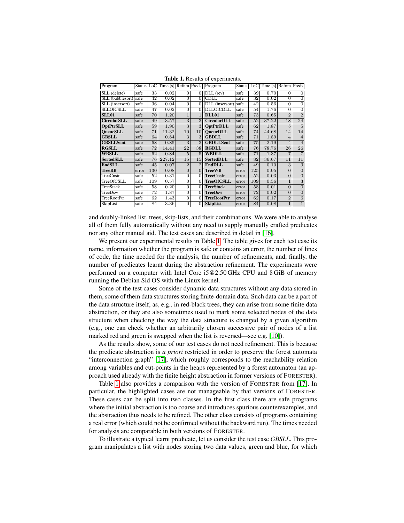| Program            | Status   LoC |                 | Time [s] Refnm Preds |                |                | Program            | <b>Status</b> | LoC | Time [s] Refnm Preds |                |                |
|--------------------|--------------|-----------------|----------------------|----------------|----------------|--------------------|---------------|-----|----------------------|----------------|----------------|
| SLL (delete)       | safe         | 33              | 0.02                 | $\Omega$       | $\Omega$       | DLL (rev)          | safe          | 39  | 0.70                 | $\Omega$       | $\Omega$       |
| SLL (bubblesort)   | safe         | 42              | 0.02                 | $\overline{0}$ | $\Omega$       | <b>CDLL</b>        | safe          | 32  | 0.02                 | 0              | $\overline{0}$ |
| SLL (insersort)    | safe         | 36              | 0.04                 | 0              | 0              | DLL (insersort)    | safe          | 42  | 0.56                 | $\Omega$       | $\overline{0}$ |
| <b>SLLOfCSLL</b>   | safe         | 47              | 0.02                 | $\overline{0}$ | $\Omega$       | <b>DLLOfCDLL</b>   | safe          | 54  | 1.76                 | $\Omega$       | $\overline{0}$ |
| SLL01              | safe         | 70              | 1.20                 | $\overline{1}$ | 1              | DLL01              | safe          | 73  | 0.65                 | $\overline{2}$ | $\overline{2}$ |
| <b>CircularSLL</b> | safe         | 49              | 3.57                 | $\overline{3}$ | 3              | <b>CircularDLL</b> | safe          | 52  | 37.22                | 18             | 24             |
| OptPtrSLL          | safe         | 59              | 1.90                 | 3              | 3              | OptPtrDLL          | safe          | 62  | 1.87                 | 5              | 5              |
| <b>OueueSLL</b>    | safe         | 71              | 11.32                | 10             | 10             | <b>OueueDLL</b>    | safe          | 74  | 44.68                | 14             | 14             |
| <b>GBSLL</b>       | safe         | 64              | 0.84                 | $\overline{3}$ | 3              | <b>GBDLL</b>       | safe          | 71  | 1.89                 | 4              | $\overline{4}$ |
| <b>GBSLLSent</b>   | safe         | 68              | 0.85                 | 3              | 3              | <b>GBDLLSent</b>   | safe          | 75  | 2.19                 | 4              | $\overline{4}$ |
| <b>RGSLL</b>       | safe         | 72              | 14.41                | 22             | 38             | <b>RGDLL</b>       | safe          | 76  | 78.76                | 26             | 26             |
| WBSLL              | safe         | 62              | 0.84                 | 5              | 5              | <b>WBDLL</b>       | safe          | 71  | 1.37                 |                | 7              |
| <b>SortedSLL</b>   | safe         | 76              | 227.12               | 15             | 15             | <b>SortedDLL</b>   | safe          | 82  | 36.67                | 11             | 11             |
| <b>EndSLL</b>      | safe         | 45              | 0.07                 | $\overline{2}$ | $\overline{2}$ | <b>EndDLL</b>      | safe          | 49  | 0.10                 | 3              | 3              |
| <b>TreeRB</b>      | error        | 130             | 0.08                 | $\overline{0}$ | $\overline{0}$ | <b>TreeWB</b>      | error         | 125 | 0.05                 | 0              | $\Omega$       |
| TreeCnstr          | safe         | $\overline{52}$ | 0.31                 | 0              | 0              | <b>TreeCnstr</b>   | error         | 52  | 0.03                 | 0              | $\overline{0}$ |
| TreeOfCSLL         | safe         | 109             | 0.57                 | $\Omega$       | 0              | <b>TreeOfCSLL</b>  | error         | 109 | 0.56                 | 1              | 3              |
| <b>TreeStack</b>   | safe         | 58              | 0.20                 | $\overline{0}$ | 0              | <b>TreeStack</b>   | error         | 58  | 0.01                 | $\Omega$       | $\Omega$       |
| TreeDsw            | safe         | $\overline{72}$ | 1.87                 | 0              | 0              | <b>TreeDsw</b>     | error         | 72  | 0.02                 |                | $\overline{0}$ |
| <b>TreeRootPtr</b> | safe         | 62              | 1.43                 | $\overline{0}$ | $\Omega$       | <b>TreeRootPtr</b> | error         | 62  | 0.17                 | $\overline{2}$ | 6              |
| SkipList           | safe         | 84              | 3.36                 | $\overline{0}$ | 0              | <b>SkipList</b>    | error         | 84  | 0.08                 |                | $\overline{1}$ |

<span id="page-15-0"></span>Table 1. Results of experiments.

and doubly-linked list, trees, skip-lists, and their combinations. We were able to analyse all of them fully automatically without any need to supply manually crafted predicates nor any other manual aid. The test cases are described in detail in [\[16\]](#page-17-16).

We present our experimental results in Table [1.](#page-15-0) The table gives for each test case its name, information whether the program is safe or contains an error, the number of lines of code, the time needed for the analysis, the number of refinements, and, finally, the number of predicates learnt during the abstraction refinement. The experiments were performed on a computer with Intel Core i5@2.50 GHz CPU and 8 GiB of memory running the Debian Sid OS with the Linux kernel.

Some of the test cases consider dynamic data structures without any data stored in them, some of them data structures storing finite-domain data. Such data can be a part of the data structure itself, as, e.g., in red-black trees, they can arise from some finite data abstraction, or they are also sometimes used to mark some selected nodes of the data structure when checking the way the data structure is changed by a given algorithm (e.g., one can check whether an arbitrarily chosen successive pair of nodes of a list marked red and green is swapped when the list is reversed—see e.g. [\[10\]](#page-17-2)).

As the results show, some of our test cases do not need refinement. This is because the predicate abstraction is *a priori* restricted in order to preserve the forest automata "interconnection graph" [\[17\]](#page-17-1), which roughly corresponds to the reachability relation among variables and cut-points in the heaps represented by a forest automaton (an approach used already with the finite height abstraction in former versions of FORESTER).

Table [1](#page-15-0) also provides a comparison with the version of FORESTER from [\[17\]](#page-17-1). In particular, the highlighted cases are not manageable by that versions of FORESTER. These cases can be split into two classes. In the first class there are safe programs where the initial abstraction is too coarse and introduces spurious counterexamples, and the abstraction thus needs to be refined. The other class consists of programs containing a real error (which could not be confirmed without the backward run). The times needed for analysis are comparable in both versions of FORESTER.

To illustrate a typical learnt predicate, let us consider the test case *GBSLL*. This program manipulates a list with nodes storing two data values, green and blue, for which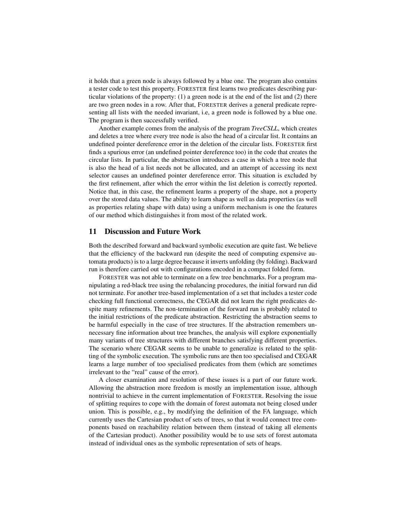it holds that a green node is always followed by a blue one. The program also contains a tester code to test this property. FORESTER first learns two predicates describing particular violations of the property: (1) a green node is at the end of the list and (2) there are two green nodes in a row. After that, FORESTER derives a general predicate representing all lists with the needed invariant, i.e, a green node is followed by a blue one. The program is then successfully verified.

Another example comes from the analysis of the program *TreeCSLL*, which creates and deletes a tree where every tree node is also the head of a circular list. It contains an undefined pointer dereference error in the deletion of the circular lists. FORESTER first finds a spurious error (an undefined pointer dereference too) in the code that creates the circular lists. In particular, the abstraction introduces a case in which a tree node that is also the head of a list needs not be allocated, and an attempt of accessing its next selector causes an undefined pointer dereference error. This situation is excluded by the first refinement, after which the error within the list deletion is correctly reported. Notice that, in this case, the refinement learns a property of the shape, not a property over the stored data values. The ability to learn shape as well as data properties (as well as properties relating shape with data) using a uniform mechanism is one the features of our method which distinguishes it from most of the related work.

## 11 Discussion and Future Work

Both the described forward and backward symbolic execution are quite fast. We believe that the efficiency of the backward run (despite the need of computing expensive automata products) is to a large degree because it inverts unfolding (by folding). Backward run is therefore carried out with configurations encoded in a compact folded form.

FORESTER was not able to terminate on a few tree benchmarks. For a program manipulating a red-black tree using the rebalancing procedures, the initial forward run did not terminate. For another tree-based implementation of a set that includes a tester code checking full functional correctness, the CEGAR did not learn the right predicates despite many refinements. The non-termination of the forward run is probably related to the initial restrictions of the predicate abstraction. Restricting the abstraction seems to be harmful especially in the case of tree structures. If the abstraction remembers unnecessary fine information about tree branches, the analysis will explore exponentially many variants of tree structures with different branches satisfying different properties. The scenario where CEGAR seems to be unable to generalize is related to the splitting of the symbolic execution. The symbolic runs are then too specialised and CEGAR learns a large number of too specialised predicates from them (which are sometimes irrelevant to the "real" cause of the error).

A closer examination and resolution of these issues is a part of our future work. Allowing the abstraction more freedom is mostly an implementation issue, although nontrivial to achieve in the current implementation of FORESTER. Resolving the issue of splitting requires to cope with the domain of forest automata not being closed under union. This is possible, e.g., by modifying the definition of the FA language, which currently uses the Cartesian product of sets of trees, so that it would connect tree components based on reachability relation between them (instead of taking all elements of the Cartesian product). Another possibility would be to use sets of forest automata instead of individual ones as the symbolic representation of sets of heaps.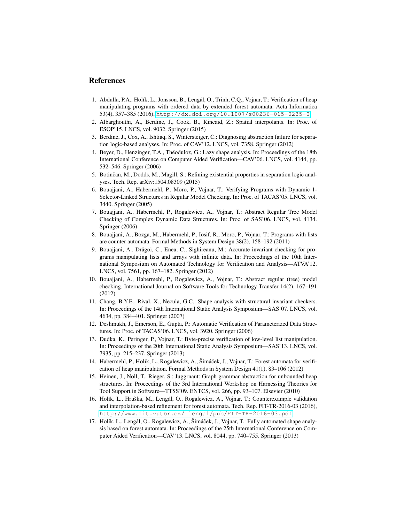#### References

- <span id="page-17-15"></span>1. Abdulla, P.A., Holík, L., Jonsson, B., Lengál, O., Trinh, C.Q., Vojnar, T.: Verification of heap manipulating programs with ordered data by extended forest automata. Acta Informatica 53(4), 357–385 (2016), <http://dx.doi.org/10.1007/s00236-015-0235-0>
- <span id="page-17-10"></span>2. Albarghouthi, A., Berdine, J., Cook, B., Kincaid, Z.: Spatial interpolants. In: Proc. of ESOP'15. LNCS, vol. 9032. Springer (2015)
- <span id="page-17-12"></span>3. Berdine, J., Cox, A., Ishtiaq, S., Wintersteiger, C.: Diagnosing abstraction failure for separation logic-based analyses. In: Proc. of CAV'12. LNCS, vol. 7358. Springer (2012)
- <span id="page-17-11"></span>4. Beyer, D., Henzinger, T.A., Théoduloz, G.: Lazy shape analysis. In: Proceedings of the 18th International Conference on Computer Aided Verification—CAV'06. LNCS, vol. 4144, pp. 532–546. Springer (2006)
- <span id="page-17-13"></span>5. Botinčan, M., Dodds, M., Magill, S.: Refining existential properties in separation logic analyses. Tech. Rep. arXiv:1504.08309 (2015)
- <span id="page-17-14"></span>6. Bouajjani, A., Habermehl, P., Moro, P., Vojnar, T.: Verifying Programs with Dynamic 1- Selector-Linked Structures in Regular Model Checking. In: Proc. of TACAS'05. LNCS, vol. 3440. Springer (2005)
- <span id="page-17-3"></span>7. Bouajjani, A., Habermehl, P., Rogalewicz, A., Vojnar, T.: Abstract Regular Tree Model Checking of Complex Dynamic Data Structures. In: Proc. of SAS'06. LNCS, vol. 4134. Springer (2006)
- <span id="page-17-6"></span>8. Bouajjani, A., Bozga, M., Habermehl, P., Iosif, R., Moro, P., Vojnar, T.: Programs with lists are counter automata. Formal Methods in System Design 38(2), 158–192 (2011)
- <span id="page-17-4"></span>9. Bouajjani, A., Drăgoi, C., Enea, C., Sighireanu, M.: Accurate invariant checking for programs manipulating lists and arrays with infinite data. In: Proceedings of the 10th International Symposium on Automated Technology for Verification and Analysis—ATVA'12. LNCS, vol. 7561, pp. 167–182. Springer (2012)
- <span id="page-17-2"></span>10. Bouajjani, A., Habermehl, P., Rogalewicz, A., Vojnar, T.: Abstract regular (tree) model checking. International Journal on Software Tools for Technology Transfer 14(2), 167–191 (2012)
- <span id="page-17-7"></span>11. Chang, B.Y.E., Rival, X., Necula, G.C.: Shape analysis with structural invariant checkers. In: Proceedings of the 14th International Static Analysis Symposium—SAS'07. LNCS, vol. 4634, pp. 384–401. Springer (2007)
- <span id="page-17-5"></span>12. Deshmukh, J., Emerson, E., Gupta, P.: Automatic Verification of Parameterized Data Structures. In: Proc. of TACAS'06. LNCS, vol. 3920. Springer (2006)
- <span id="page-17-8"></span>13. Dudka, K., Peringer, P., Vojnar, T.: Byte-precise verification of low-level list manipulation. In: Proceedings of the 20th International Static Analysis Symposium—SAS'13. LNCS, vol. 7935, pp. 215–237. Springer (2013)
- <span id="page-17-0"></span>14. Habermehl, P., Holík, L., Rogalewicz, A., Šimáček, J., Vojnar, T.: Forest automata for verification of heap manipulation. Formal Methods in System Design 41(1), 83–106 (2012)
- <span id="page-17-9"></span>15. Heinen, J., Noll, T., Rieger, S.: Juggrnaut: Graph grammar abstraction for unbounded heap structures. In: Proceedings of the 3rd International Workshop on Harnessing Theories for Tool Support in Software—TTSS'09. ENTCS, vol. 266, pp. 93–107. Elsevier (2010)
- <span id="page-17-16"></span>16. Holík, L., Hruška, M., Lengál, O., Rogalewicz, A., Vojnar, T.: Counterexample validation and interpolation-based refinement for forest automata. Tech. Rep. FIT-TR-2016-03 (2016), [http://www.fit.vutbr.cz/˜lengal/pub/FIT-TR-2016-03.pdf](http://www.fit.vutbr.cz/~lengal/pub/FIT-TR-2016-03.pdf)
- <span id="page-17-1"></span>17. Holík, L., Lengál, O., Rogalewicz, A., Šimáček, J., Vojnar, T.: Fully automated shape analysis based on forest automata. In: Proceedings of the 25th International Conference on Computer Aided Verification—CAV'13. LNCS, vol. 8044, pp. 740–755. Springer (2013)